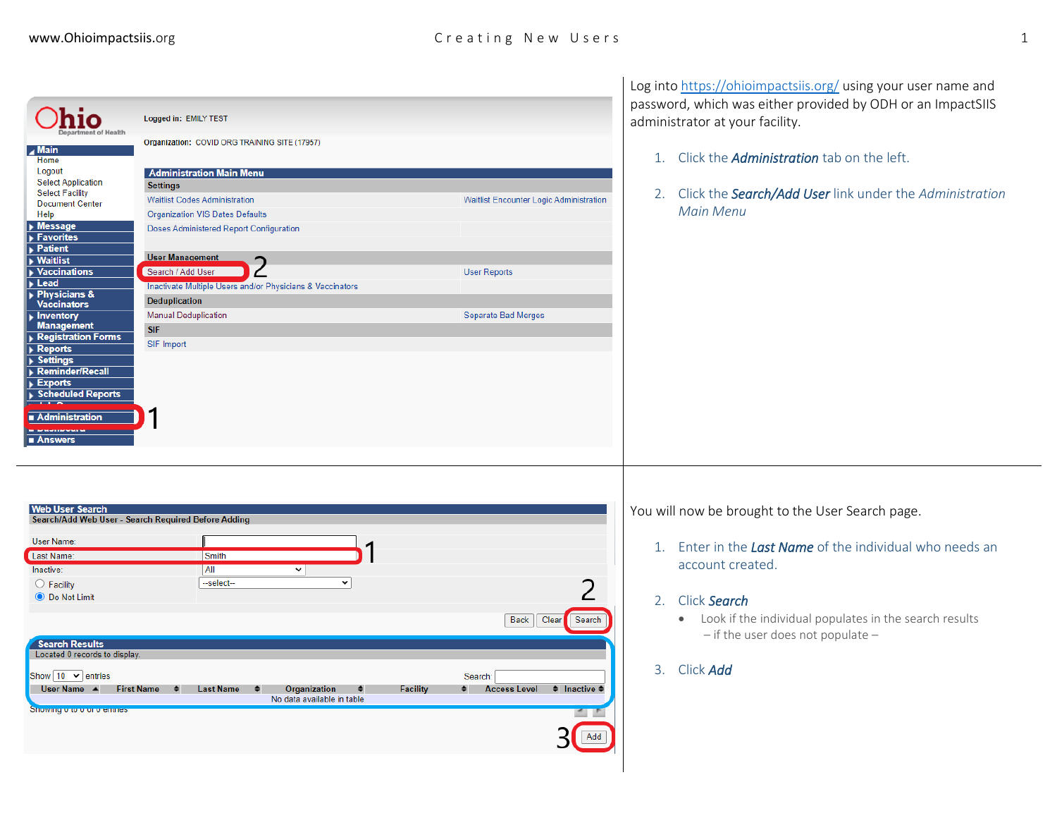## www.Ohioimpactsiis.org examples are contained to creating New Users and the series of the series of the series of the series of the series of the series of the series of the series of the series of the series of the series

| lÍO<br><b>Main</b><br>Home<br>Logout<br><b>Select Application</b><br><b>Select Facility</b><br><b>Document Center</b><br>Help<br>Message<br>Favorites<br>$\blacktriangleright$ Patient<br>$\blacktriangleright$ Waitlist<br><b>Vaccinations</b><br>Lead<br>Physicians &<br><b>Vaccinators</b><br>Inventory<br><b>Management</b><br><b>Registration Forms</b><br>Reports<br><b>Settings</b><br><b>Reminder/Recall</b><br>Exports<br>Scheduled Reports<br>Administration<br>■ Answers | Logged in: EMILY TEST<br>Organization: COVID ORG TRAINING SITE (17957)<br><b>Administration Main Menu</b><br><b>Settings</b><br><b>Waitlist Codes Administration</b><br><b>Organization VIS Dates Defaults</b><br>Doses Administered Report Configuration<br><b>User Management</b><br>ำ<br>Search / Add User<br>Inactivate Multiple Users and/or Physicians & Vaccinators<br>Deduplication<br><b>Manual Deduplication</b><br><b>SIF</b><br><b>SIF Import</b> | Waitlist Encounter Logic Administration<br><b>User Reports</b><br><b>Separate Bad Merges</b>               | Log into https://ohioimpactsiis.org/ using your user name and<br>password, which was either provided by ODH or an ImpactSIIS<br>administrator at your facility.<br>Click the <i>Administration</i> tab on the left.<br>1.<br>2. Click the <b>Search/Add User</b> link under the Administration<br><b>Main Menu</b> |  |
|-------------------------------------------------------------------------------------------------------------------------------------------------------------------------------------------------------------------------------------------------------------------------------------------------------------------------------------------------------------------------------------------------------------------------------------------------------------------------------------|---------------------------------------------------------------------------------------------------------------------------------------------------------------------------------------------------------------------------------------------------------------------------------------------------------------------------------------------------------------------------------------------------------------------------------------------------------------|------------------------------------------------------------------------------------------------------------|--------------------------------------------------------------------------------------------------------------------------------------------------------------------------------------------------------------------------------------------------------------------------------------------------------------------|--|
| <b>Web User Search</b><br>User Name:<br>Last Name:<br>Inactive:<br>$\bigcirc$ Facility<br><b>●</b> Do Not Limit<br><b>Search Results</b><br>Located 0 records to display.<br>Show $10 \times$ entries<br>User Name A<br>Showing ono ono emmest                                                                                                                                                                                                                                      | Search/Add Web User - Search Required Before Adding<br>Smith<br>All<br>$\overline{\mathbf{v}}$<br>$\checkmark$<br>--select--<br><b>Facility</b><br><b>First Name</b><br><b>Last Name</b><br>Organization<br>$\bullet$<br>٠<br>No data available in table                                                                                                                                                                                                      | Clear<br>Search<br>Back<br>Search:<br><b>Access Level</b><br>$\bullet$ Inactive $\bullet$<br>$\sim$<br>Add | You will now be brought to the User Search page.<br>1. Enter in the Last Name of the individual who needs an<br>account created.<br>Click Search<br>2.<br>• Look if the individual populates in the search results<br>$-$ if the user does not populate $-$<br>Click Add<br>3.                                     |  |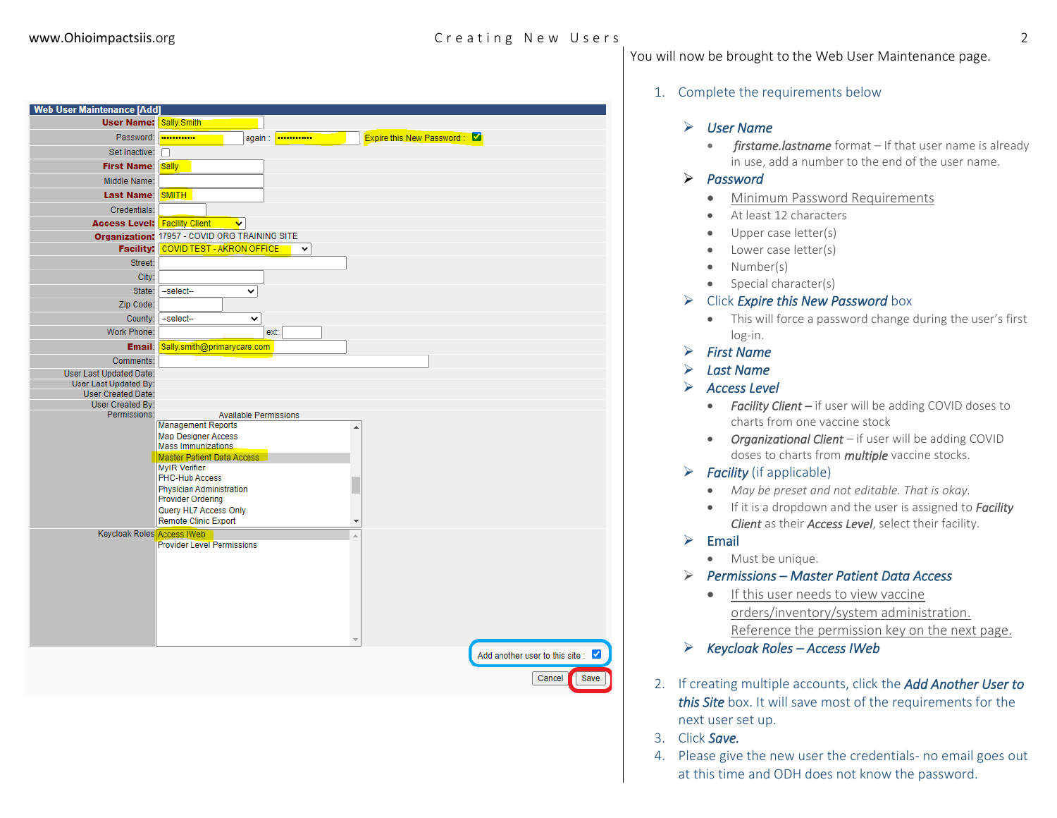## www.Ohioimpactsiis.org C r e a t i n g N e w U s e r s 2

#### 1. Complete the requirements below

#### ➢ *User Name*

• *firstame.lastname* format – If that user name is already in use, add a number to the end of the user name.

#### ➢ *Password*

• Minimum Password Requirements

You will now be brought to the Web User Maintenance page.

- At least 12 characters
- Upper case letter(s)
- Lower case letter(s)
- Number(s)
- Special character(s)

#### ➢ Click *Expire this New Password* box

- This will force a password change during the user's first log-in.
- ➢ *First Name*
- ➢ *Last Name*
- ➢ *Access Level* 
	- **Facility Client** if user will be adding COVID doses to charts from one vaccine stock
	- *Organizational Client* if user will be adding COVID doses to charts from *multiple* vaccine stocks.
- ➢ *Facility* (if applicable)
	- *May be preset and not editable. That is okay.*
	- If it is a dropdown and the user is assigned to *Facility Client* as their *Access Level*, select their facility.

#### ➢ Email

• Must be unique.

#### ➢ *Permissions – Master Patient Data Access*

- If this user needs to view vaccine orders/inventory/system administration. Reference the permission key on the next page.
- ➢ *Keycloak Roles – Access IWeb*
- 2. If creating multiple accounts, click the *Add Another User to this Site* box. It will save most of the requirements for the next user set up.
- 3. Click *Save.*

 $\blacktriangledown$ Save

> 4. Please give the new user the credentials- no email goes out at this time and ODH does not know the password.

| <b>Web User Maintenance [Add]</b>                  |                                                  |                                       |        |
|----------------------------------------------------|--------------------------------------------------|---------------------------------------|--------|
| <b>User Name: Sally Smith</b>                      |                                                  |                                       |        |
| Password:                                          | <br>again :  ···········                         | <b>Expire this New Password:</b><br>ø |        |
| Set Inactive:                                      |                                                  |                                       |        |
| <b>First Name:</b>                                 | <b>Sally</b>                                     |                                       |        |
| Middle Name:                                       |                                                  |                                       |        |
| <b>Last Name:</b>                                  | <b>SMITH</b>                                     |                                       |        |
| Credentials:                                       |                                                  |                                       |        |
| <b>Access Level: Facility Client</b>               | Ÿ                                                |                                       |        |
|                                                    | Organization: 17957 - COVID ORG TRAINING SITE    |                                       |        |
| <b>Facility:</b>                                   | COVID TEST - AKRON OFFICE<br>$\check{~}$         |                                       |        |
| Street:                                            |                                                  |                                       |        |
| City:                                              |                                                  |                                       |        |
| State:                                             | --select--<br>v                                  |                                       |        |
| Zip Code:                                          |                                                  |                                       |        |
| County:                                            | --select--<br>v                                  |                                       |        |
| Work Phone:                                        | ext:                                             |                                       |        |
| Email:                                             | Sally.smith@primarycare.com                      |                                       |        |
| Comments:                                          |                                                  |                                       |        |
| <b>User Last Updated Date:</b>                     |                                                  |                                       |        |
| User Last Updated By:<br><b>User Created Date:</b> |                                                  |                                       |        |
| User Created By:                                   |                                                  |                                       |        |
| Permissions:                                       | <b>Available Permissions</b>                     |                                       |        |
|                                                    | <b>Management Reports</b>                        | ▲                                     |        |
|                                                    | <b>Map Designer Access</b><br>Mass Immunizations |                                       |        |
|                                                    | Master Patient Data Access                       |                                       |        |
|                                                    | <b>MyIR Verifier</b><br><b>PHC-Hub Access</b>    |                                       |        |
|                                                    | Physician Administration                         |                                       |        |
|                                                    | <b>Provider Ordering</b>                         |                                       |        |
|                                                    | Query HL7 Access Only                            |                                       |        |
| Keycloak Roles Access IWeb                         | Remote Clinic Export                             |                                       |        |
|                                                    | <b>Provider Level Permissions</b>                |                                       |        |
|                                                    |                                                  |                                       |        |
|                                                    |                                                  |                                       |        |
|                                                    |                                                  |                                       |        |
|                                                    |                                                  |                                       |        |
|                                                    |                                                  |                                       |        |
|                                                    |                                                  |                                       |        |
|                                                    |                                                  |                                       |        |
|                                                    |                                                  | Add another user to this site         |        |
|                                                    |                                                  |                                       |        |
|                                                    |                                                  |                                       | Cancel |
|                                                    |                                                  |                                       |        |